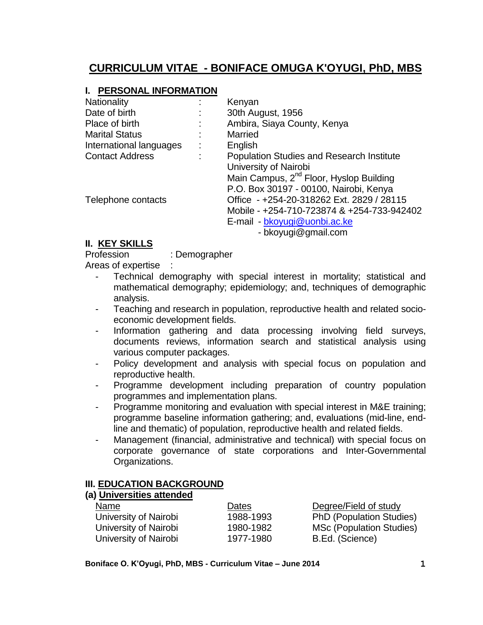# **CURRICULUM VITAE - BONIFACE OMUGA K'OYUGI, PhD, MBS**

#### **I. PERSONAL INFORMATION**

| Nationality             | Kenyan                                              |  |
|-------------------------|-----------------------------------------------------|--|
| Date of birth           | 30th August, 1956                                   |  |
| Place of birth          | Ambira, Siaya County, Kenya                         |  |
| <b>Marital Status</b>   | Married                                             |  |
| International languages | English                                             |  |
| <b>Contact Address</b>  | <b>Population Studies and Research Institute</b>    |  |
|                         | University of Nairobi                               |  |
|                         | Main Campus, 2 <sup>nd</sup> Floor, Hyslop Building |  |
|                         | P.O. Box 30197 - 00100, Nairobi, Kenya              |  |
| Telephone contacts      | Office - +254-20-318262 Ext. 2829 / 28115           |  |
|                         | Mobile - +254-710-723874 & +254-733-942402          |  |
|                         | E-mail - bkoyugi@uonbi.ac.ke                        |  |
|                         | - bkoyugi@gmail.com                                 |  |

#### **II. KEY SKILLS**

Profession : Demographer

Areas of expertise :

- Technical demography with special interest in mortality; statistical and mathematical demography; epidemiology; and, techniques of demographic analysis.
- Teaching and research in population, reproductive health and related socioeconomic development fields.
- Information gathering and data processing involving field surveys, documents reviews, information search and statistical analysis using various computer packages.
- Policy development and analysis with special focus on population and reproductive health.
- Programme development including preparation of country population programmes and implementation plans.
- Programme monitoring and evaluation with special interest in M&E training; programme baseline information gathering; and, evaluations (mid-line, endline and thematic) of population, reproductive health and related fields.
- Management (financial, administrative and technical) with special focus on corporate governance of state corporations and Inter-Governmental Organizations.

#### **III. EDUCATION BACKGROUND**

### **(a) Universities attended**

| Name                  | Dates     | Degree/Field of study           |
|-----------------------|-----------|---------------------------------|
| University of Nairobi | 1988-1993 | <b>PhD (Population Studies)</b> |
| University of Nairobi | 1980-1982 | MSc (Population Studies)        |
| University of Nairobi | 1977-1980 | B.Ed. (Science)                 |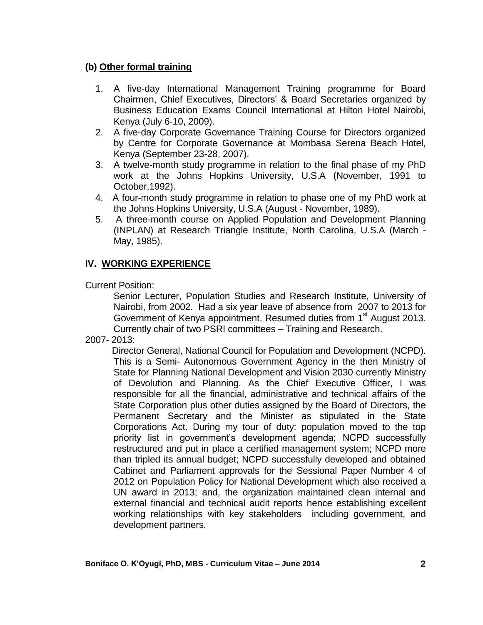#### **(b) Other formal training**

- 1. A five-day International Management Training programme for Board Chairmen, Chief Executives, Directors' & Board Secretaries organized by Business Education Exams Council International at Hilton Hotel Nairobi, Kenya (July 6-10, 2009).
- 2. A five-day Corporate Governance Training Course for Directors organized by Centre for Corporate Governance at Mombasa Serena Beach Hotel, Kenya (September 23-28, 2007).
- 3. A twelve-month study programme in relation to the final phase of my PhD work at the Johns Hopkins University, U.S.A (November, 1991 to October,1992).
- 4. A four-month study programme in relation to phase one of my PhD work at the Johns Hopkins University, U.S.A (August - November, 1989).
- 5. A three-month course on Applied Population and Development Planning (INPLAN) at Research Triangle Institute, North Carolina, U.S.A (March - May, 1985).

# **IV. WORKING EXPERIENCE**

Current Position:

Senior Lecturer, Population Studies and Research Institute, University of Nairobi, from 2002. Had a six year leave of absence from 2007 to 2013 for Government of Kenya appointment. Resumed duties from 1<sup>st</sup> August 2013. Currently chair of two PSRI committees – Training and Research.

2007- 2013:

 Director General, National Council for Population and Development (NCPD). This is a Semi- Autonomous Government Agency in the then Ministry of State for Planning National Development and Vision 2030 currently Ministry of Devolution and Planning. As the Chief Executive Officer, I was responsible for all the financial, administrative and technical affairs of the State Corporation plus other duties assigned by the Board of Directors, the Permanent Secretary and the Minister as stipulated in the State Corporations Act. During my tour of duty: population moved to the top priority list in government's development agenda; NCPD successfully restructured and put in place a certified management system; NCPD more than tripled its annual budget; NCPD successfully developed and obtained Cabinet and Parliament approvals for the Sessional Paper Number 4 of 2012 on Population Policy for National Development which also received a UN award in 2013; and, the organization maintained clean internal and external financial and technical audit reports hence establishing excellent working relationships with key stakeholders including government, and development partners.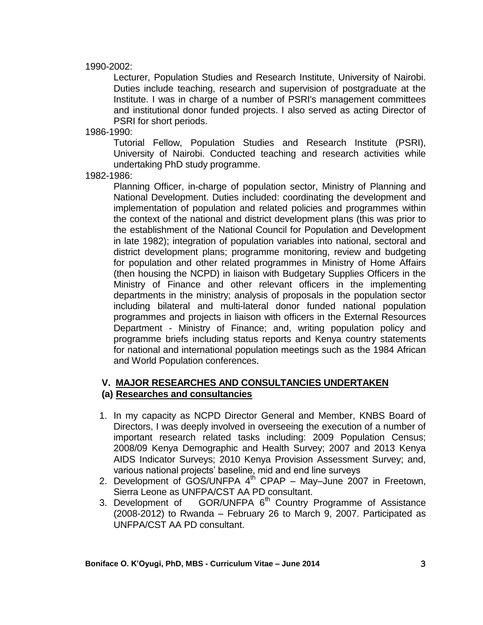#### 1990-2002:

Lecturer, Population Studies and Research Institute, University of Nairobi. Duties include teaching, research and supervision of postgraduate at the Institute. I was in charge of a number of PSRI's management committees and institutional donor funded projects. I also served as acting Director of PSRI for short periods.

1986-1990:

Tutorial Fellow, Population Studies and Research Institute (PSRI), University of Nairobi. Conducted teaching and research activities while undertaking PhD study programme.

1982-1986:

Planning Officer, in-charge of population sector, Ministry of Planning and National Development. Duties included: coordinating the development and implementation of population and related policies and programmes within the context of the national and district development plans (this was prior to the establishment of the National Council for Population and Development in late 1982); integration of population variables into national, sectoral and district development plans; programme monitoring, review and budgeting for population and other related programmes in Ministry of Home Affairs (then housing the NCPD) in liaison with Budgetary Supplies Officers in the Ministry of Finance and other relevant officers in the implementing departments in the ministry; analysis of proposals in the population sector including bilateral and multi-lateral donor funded national population programmes and projects in liaison with officers in the External Resources Department - Ministry of Finance; and, writing population policy and programme briefs including status reports and Kenya country statements for national and international population meetings such as the 1984 African and World Population conferences.

#### **V. MAJOR RESEARCHES AND CONSULTANCIES UNDERTAKEN (a) Researches and consultancies**

- 1. In my capacity as NCPD Director General and Member, KNBS Board of Directors, I was deeply involved in overseeing the execution of a number of important research related tasks including: 2009 Population Census; 2008/09 Kenya Demographic and Health Survey; 2007 and 2013 Kenya AIDS Indicator Surveys; 2010 Kenya Provision Assessment Survey; and, various national projects' baseline, mid and end line surveys
- 2. Development of GOS/UNFPA 4<sup>th</sup> CPAP May–June 2007 in Freetown, Sierra Leone as UNFPA/CST AA PD consultant.
- 3. Development of  $GOR/UNFPA 6<sup>th</sup> Country Programme of Assistance$ (2008-2012) to Rwanda – February 26 to March 9, 2007. Participated as UNFPA/CST AA PD consultant.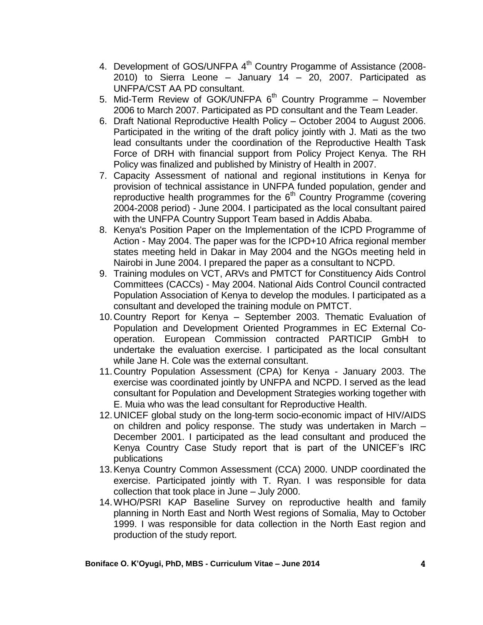- 4. Development of GOS/UNFPA 4<sup>th</sup> Country Progamme of Assistance (2008-2010) to Sierra Leone – January 14 – 20, 2007. Participated as UNFPA/CST AA PD consultant.
- 5. Mid-Term Review of GOK/UNFPA 6<sup>th</sup> Country Programme November 2006 to March 2007. Participated as PD consultant and the Team Leader.
- 6. Draft National Reproductive Health Policy October 2004 to August 2006. Participated in the writing of the draft policy jointly with J. Mati as the two lead consultants under the coordination of the Reproductive Health Task Force of DRH with financial support from Policy Project Kenya. The RH Policy was finalized and published by Ministry of Health in 2007.
- 7. Capacity Assessment of national and regional institutions in Kenya for provision of technical assistance in UNFPA funded population, gender and reproductive health programmes for the  $6<sup>th</sup>$  Country Programme (covering 2004-2008 period) - June 2004. I participated as the local consultant paired with the UNFPA Country Support Team based in Addis Ababa.
- 8. Kenya's Position Paper on the Implementation of the ICPD Programme of Action - May 2004. The paper was for the ICPD+10 Africa regional member states meeting held in Dakar in May 2004 and the NGOs meeting held in Nairobi in June 2004. I prepared the paper as a consultant to NCPD.
- 9. Training modules on VCT, ARVs and PMTCT for Constituency Aids Control Committees (CACCs) - May 2004. National Aids Control Council contracted Population Association of Kenya to develop the modules. I participated as a consultant and developed the training module on PMTCT.
- 10.Country Report for Kenya September 2003. Thematic Evaluation of Population and Development Oriented Programmes in EC External Cooperation. European Commission contracted PARTICIP GmbH to undertake the evaluation exercise. I participated as the local consultant while Jane H. Cole was the external consultant.
- 11.Country Population Assessment (CPA) for Kenya January 2003. The exercise was coordinated jointly by UNFPA and NCPD. I served as the lead consultant for Population and Development Strategies working together with E. Muia who was the lead consultant for Reproductive Health.
- 12.UNICEF global study on the long-term socio-economic impact of HIV/AIDS on children and policy response. The study was undertaken in March – December 2001. I participated as the lead consultant and produced the Kenya Country Case Study report that is part of the UNICEF's IRC publications
- 13.Kenya Country Common Assessment (CCA) 2000. UNDP coordinated the exercise. Participated jointly with T. Ryan. I was responsible for data collection that took place in June – July 2000.
- 14.WHO/PSRI KAP Baseline Survey on reproductive health and family planning in North East and North West regions of Somalia, May to October 1999. I was responsible for data collection in the North East region and production of the study report.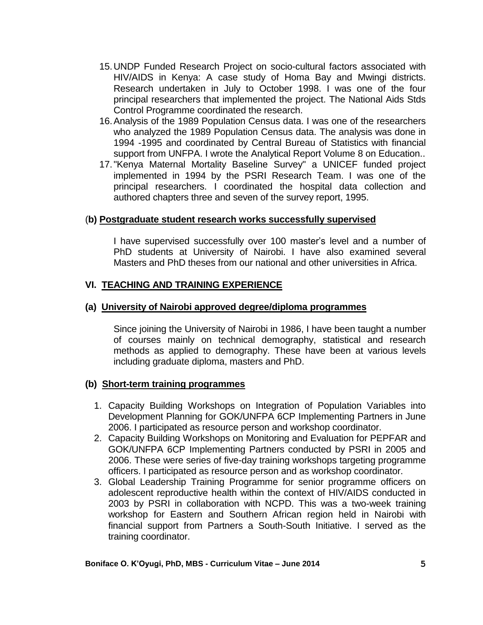- 15.UNDP Funded Research Project on socio-cultural factors associated with HIV/AIDS in Kenya: A case study of Homa Bay and Mwingi districts. Research undertaken in July to October 1998. I was one of the four principal researchers that implemented the project. The National Aids Stds Control Programme coordinated the research.
- 16.Analysis of the 1989 Population Census data. I was one of the researchers who analyzed the 1989 Population Census data. The analysis was done in 1994 -1995 and coordinated by Central Bureau of Statistics with financial support from UNFPA. I wrote the Analytical Report Volume 8 on Education..
- 17."Kenya Maternal Mortality Baseline Survey" a UNICEF funded project implemented in 1994 by the PSRI Research Team. I was one of the principal researchers. I coordinated the hospital data collection and authored chapters three and seven of the survey report, 1995.

#### (**b) Postgraduate student research works successfully supervised**

I have supervised successfully over 100 master's level and a number of PhD students at University of Nairobi. I have also examined several Masters and PhD theses from our national and other universities in Africa.

#### **VI. TEACHING AND TRAINING EXPERIENCE**

#### **(a) University of Nairobi approved degree/diploma programmes**

Since joining the University of Nairobi in 1986, I have been taught a number of courses mainly on technical demography, statistical and research methods as applied to demography. These have been at various levels including graduate diploma, masters and PhD.

#### **(b) Short-term training programmes**

- 1. Capacity Building Workshops on Integration of Population Variables into Development Planning for GOK/UNFPA 6CP Implementing Partners in June 2006. I participated as resource person and workshop coordinator.
- 2. Capacity Building Workshops on Monitoring and Evaluation for PEPFAR and GOK/UNFPA 6CP Implementing Partners conducted by PSRI in 2005 and 2006. These were series of five-day training workshops targeting programme officers. I participated as resource person and as workshop coordinator.
- 3. Global Leadership Training Programme for senior programme officers on adolescent reproductive health within the context of HIV/AIDS conducted in 2003 by PSRI in collaboration with NCPD. This was a two-week training workshop for Eastern and Southern African region held in Nairobi with financial support from Partners a South-South Initiative. I served as the training coordinator.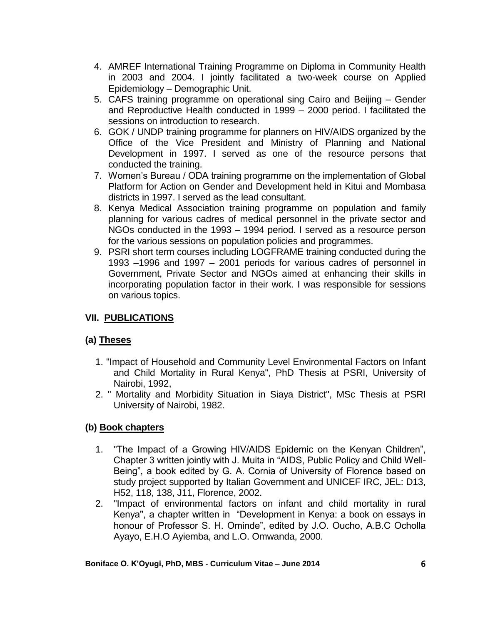- 4. AMREF International Training Programme on Diploma in Community Health in 2003 and 2004. I jointly facilitated a two-week course on Applied Epidemiology – Demographic Unit.
- 5. CAFS training programme on operational sing Cairo and Beijing Gender and Reproductive Health conducted in 1999 – 2000 period. I facilitated the sessions on introduction to research.
- 6. GOK / UNDP training programme for planners on HIV/AIDS organized by the Office of the Vice President and Ministry of Planning and National Development in 1997. I served as one of the resource persons that conducted the training.
- 7. Women's Bureau / ODA training programme on the implementation of Global Platform for Action on Gender and Development held in Kitui and Mombasa districts in 1997. I served as the lead consultant.
- 8. Kenya Medical Association training programme on population and family planning for various cadres of medical personnel in the private sector and NGOs conducted in the 1993 – 1994 period. I served as a resource person for the various sessions on population policies and programmes.
- 9. PSRI short term courses including LOGFRAME training conducted during the 1993 –1996 and 1997 – 2001 periods for various cadres of personnel in Government, Private Sector and NGOs aimed at enhancing their skills in incorporating population factor in their work. I was responsible for sessions on various topics.

## **VII. PUBLICATIONS**

### **(a) Theses**

- 1. "Impact of Household and Community Level Environmental Factors on Infant and Child Mortality in Rural Kenya", PhD Thesis at PSRI, University of Nairobi, 1992,
- 2. " Mortality and Morbidity Situation in Siaya District", MSc Thesis at PSRI University of Nairobi, 1982.

### **(b) Book chapters**

- 1. "The Impact of a Growing HIV/AIDS Epidemic on the Kenyan Children", Chapter 3 written jointly with J. Muita in "AIDS, Public Policy and Child Well-Being", a book edited by G. A. Cornia of University of Florence based on study project supported by Italian Government and UNICEF IRC, JEL: D13, H52, 118, 138, J11, Florence, 2002.
- 2. "Impact of environmental factors on infant and child mortality in rural Kenya", a chapter written in "Development in Kenya: a book on essays in honour of Professor S. H. Ominde", edited by J.O. Oucho, A.B.C Ocholla Ayayo, E.H.O Ayiemba, and L.O. Omwanda, 2000.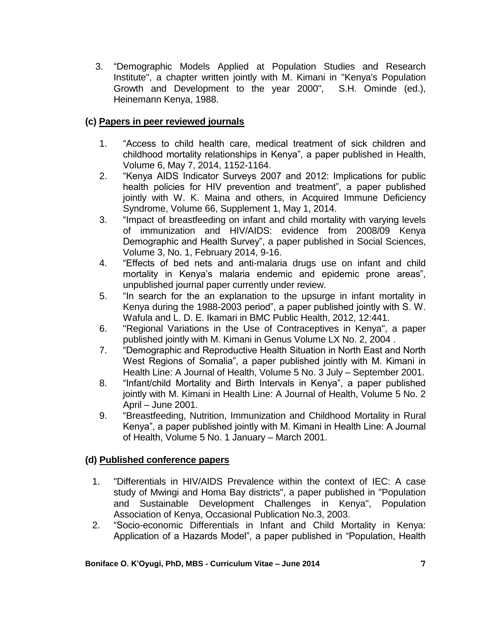3. "Demographic Models Applied at Population Studies and Research Institute", a chapter written jointly with M. Kimani in "Kenya's Population Growth and Development to the year 2000", S.H. Ominde (ed.), Heinemann Kenya, 1988.

### **(c) Papers in peer reviewed journals**

- 1. "Access to child health care, medical treatment of sick children and childhood mortality relationships in Kenya", a paper published in Health, Volume 6, May 7, 2014, 1152-1164.
- 2. "Kenya AIDS Indicator Surveys 2007 and 2012: Implications for public health policies for HIV prevention and treatment", a paper published jointly with W. K. Maina and others, in Acquired Immune Deficiency Syndrome, Volume 66, Supplement 1, May 1, 2014.
- 3. "Impact of breastfeeding on infant and child mortality with varying levels of immunization and HIV/AIDS: evidence from 2008/09 Kenya Demographic and Health Survey", a paper published in Social Sciences, Volume 3, No. 1, February 2014, 9-16.
- 4. "Effects of bed nets and anti-malaria drugs use on infant and child mortality in Kenya's malaria endemic and epidemic prone areas", unpublished journal paper currently under review.
- 5. "In search for the an explanation to the upsurge in infant mortality in Kenya during the 1988-2003 period", a paper published jointly with S. W. Wafula and L. D. E. Ikamari in BMC Public Health, 2012, 12:441.
- 6. "Regional Variations in the Use of Contraceptives in Kenya", a paper published jointly with M. Kimani in Genus Volume LX No. 2, 2004 .
- 7. "Demographic and Reproductive Health Situation in North East and North West Regions of Somalia", a paper published jointly with M. Kimani in Health Line: A Journal of Health, Volume 5 No. 3 July – September 2001.
- 8. "Infant/child Mortality and Birth Intervals in Kenya", a paper published jointly with M. Kimani in Health Line: A Journal of Health, Volume 5 No. 2 April – June 2001.
- 9. "Breastfeeding, Nutrition, Immunization and Childhood Mortality in Rural Kenya", a paper published jointly with M. Kimani in Health Line: A Journal of Health, Volume 5 No. 1 January – March 2001.

### **(d) Published conference papers**

- 1. "Differentials in HIV/AIDS Prevalence within the context of IEC: A case study of Mwingi and Homa Bay districts", a paper published in "Population and Sustainable Development Challenges in Kenya", Population Association of Kenya, Occasional Publication No.3, 2003.
- 2. "Socio-economic Differentials in Infant and Child Mortality in Kenya: Application of a Hazards Model", a paper published in "Population, Health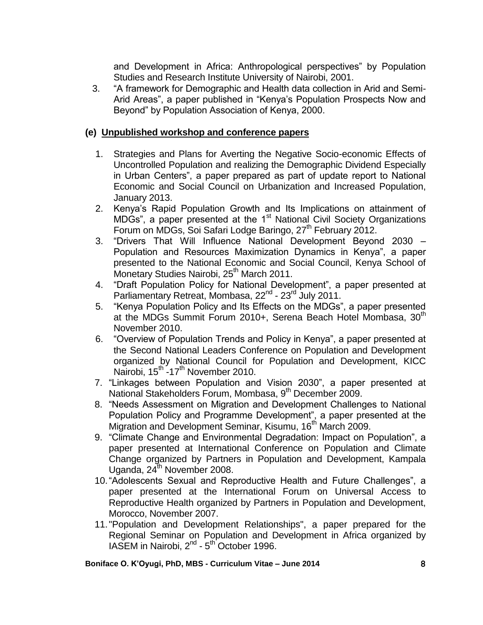and Development in Africa: Anthropological perspectives" by Population Studies and Research Institute University of Nairobi, 2001.

3. "A framework for Demographic and Health data collection in Arid and Semi-Arid Areas", a paper published in "Kenya's Population Prospects Now and Beyond" by Population Association of Kenya, 2000.

### **(e) Unpublished workshop and conference papers**

- 1. Strategies and Plans for Averting the Negative Socio-economic Effects of Uncontrolled Population and realizing the Demographic Dividend Especially in Urban Centers", a paper prepared as part of update report to National Economic and Social Council on Urbanization and Increased Population, January 2013.
- 2. Kenya's Rapid Population Growth and Its Implications on attainment of MDGs", a paper presented at the 1<sup>st</sup> National Civil Society Organizations Forum on MDGs, Soi Safari Lodge Baringo, 27<sup>th</sup> February 2012.
- 3. "Drivers That Will Influence National Development Beyond 2030 Population and Resources Maximization Dynamics in Kenya", a paper presented to the National Economic and Social Council, Kenya School of Monetary Studies Nairobi, 25<sup>th</sup> March 2011.
- 4. "Draft Population Policy for National Development", a paper presented at Parliamentary Retreat, Mombasa, 22<sup>nd</sup> - 23<sup>rd</sup> July 2011.
- 5. "Kenya Population Policy and Its Effects on the MDGs", a paper presented at the MDGs Summit Forum 2010+, Serena Beach Hotel Mombasa, 30<sup>th</sup> November 2010.
- 6. "Overview of Population Trends and Policy in Kenya", a paper presented at the Second National Leaders Conference on Population and Development organized by National Council for Population and Development, KICC Nairobi, 15<sup>th -</sup>17<sup>th</sup> November 2010.
- 7. "Linkages between Population and Vision 2030", a paper presented at National Stakeholders Forum, Mombasa, 9<sup>th</sup> December 2009.
- 8. "Needs Assessment on Migration and Development Challenges to National Population Policy and Programme Development", a paper presented at the Migration and Development Seminar, Kisumu, 16<sup>th</sup> March 2009.
- 9. "Climate Change and Environmental Degradation: Impact on Population", a paper presented at International Conference on Population and Climate Change organized by Partners in Population and Development, Kampala Uganda,  $24^{th}$  November 2008.
- 10."Adolescents Sexual and Reproductive Health and Future Challenges", a paper presented at the International Forum on Universal Access to Reproductive Health organized by Partners in Population and Development, Morocco, November 2007.
- 11."Population and Development Relationships", a paper prepared for the Regional Seminar on Population and Development in Africa organized by IASEM in Nairobi, 2<sup>nd</sup> - 5<sup>th</sup> October 1996.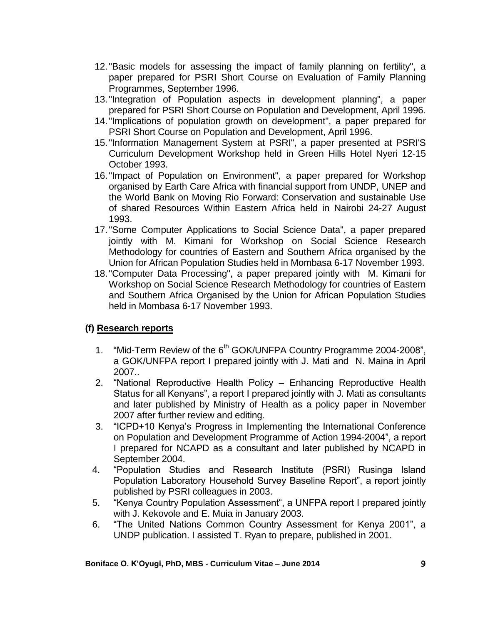- 12."Basic models for assessing the impact of family planning on fertility", a paper prepared for PSRI Short Course on Evaluation of Family Planning Programmes, September 1996.
- 13."Integration of Population aspects in development planning", a paper prepared for PSRI Short Course on Population and Development, April 1996.
- 14."Implications of population growth on development", a paper prepared for PSRI Short Course on Population and Development, April 1996.
- 15."Information Management System at PSRI", a paper presented at PSRI'S Curriculum Development Workshop held in Green Hills Hotel Nyeri 12-15 October 1993.
- 16."Impact of Population on Environment", a paper prepared for Workshop organised by Earth Care Africa with financial support from UNDP, UNEP and the World Bank on Moving Rio Forward: Conservation and sustainable Use of shared Resources Within Eastern Africa held in Nairobi 24-27 August 1993.
- 17."Some Computer Applications to Social Science Data", a paper prepared jointly with M. Kimani for Workshop on Social Science Research Methodology for countries of Eastern and Southern Africa organised by the Union for African Population Studies held in Mombasa 6-17 November 1993.
- 18."Computer Data Processing", a paper prepared jointly with M. Kimani for Workshop on Social Science Research Methodology for countries of Eastern and Southern Africa Organised by the Union for African Population Studies held in Mombasa 6-17 November 1993.

# **(f) Research reports**

- 1. "Mid-Term Review of the 6<sup>th</sup> GOK/UNFPA Country Programme 2004-2008", a GOK/UNFPA report I prepared jointly with J. Mati and N. Maina in April 2007..
- 2. "National Reproductive Health Policy Enhancing Reproductive Health Status for all Kenyans", a report I prepared jointly with J. Mati as consultants and later published by Ministry of Health as a policy paper in November 2007 after further review and editing.
- 3. "ICPD+10 Kenya's Progress in Implementing the International Conference on Population and Development Programme of Action 1994-2004", a report I prepared for NCAPD as a consultant and later published by NCAPD in September 2004.
- 4. "Population Studies and Research Institute (PSRI) Rusinga Island Population Laboratory Household Survey Baseline Report", a report jointly published by PSRI colleagues in 2003.
- 5. "Kenya Country Population Assessment", a UNFPA report I prepared jointly with J. Kekovole and E. Muia in January 2003.
- 6. "The United Nations Common Country Assessment for Kenya 2001", a UNDP publication. I assisted T. Ryan to prepare, published in 2001.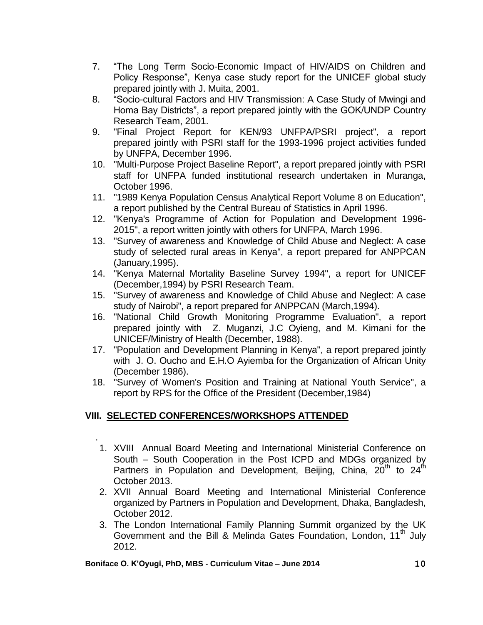- 7. "The Long Term Socio-Economic Impact of HIV/AIDS on Children and Policy Response", Kenya case study report for the UNICEF global study prepared jointly with J. Muita, 2001.
- 8. "Socio-cultural Factors and HIV Transmission: A Case Study of Mwingi and Homa Bay Districts", a report prepared jointly with the GOK/UNDP Country Research Team, 2001.
- 9. "Final Project Report for KEN/93 UNFPA/PSRI project", a report prepared jointly with PSRI staff for the 1993-1996 project activities funded by UNFPA, December 1996.
- 10. "Multi-Purpose Project Baseline Report", a report prepared jointly with PSRI staff for UNFPA funded institutional research undertaken in Muranga, October 1996.
- 11. "1989 Kenya Population Census Analytical Report Volume 8 on Education", a report published by the Central Bureau of Statistics in April 1996.
- 12. "Kenya's Programme of Action for Population and Development 1996- 2015", a report written jointly with others for UNFPA, March 1996.
- 13. "Survey of awareness and Knowledge of Child Abuse and Neglect: A case study of selected rural areas in Kenya", a report prepared for ANPPCAN (January,1995).
- 14. "Kenya Maternal Mortality Baseline Survey 1994", a report for UNICEF (December,1994) by PSRI Research Team.
- 15. "Survey of awareness and Knowledge of Child Abuse and Neglect: A case study of Nairobi", a report prepared for ANPPCAN (March,1994).
- 16. "National Child Growth Monitoring Programme Evaluation", a report prepared jointly with Z. Muganzi, J.C Oyieng, and M. Kimani for the UNICEF/Ministry of Health (December, 1988).
- 17. "Population and Development Planning in Kenya", a report prepared jointly with J. O. Oucho and E.H.O Ayiemba for the Organization of African Unity (December 1986).
- 18. "Survey of Women's Position and Training at National Youth Service", a report by RPS for the Office of the President (December,1984)

### **VIII. SELECTED CONFERENCES/WORKSHOPS ATTENDED**

.

- 1. XVIII Annual Board Meeting and International Ministerial Conference on South – South Cooperation in the Post ICPD and MDGs organized by Partners in Population and Development, Beijing, China,  $20<sup>th</sup>$  to  $24<sup>th</sup>$ October 2013.
- 2. XVII Annual Board Meeting and International Ministerial Conference organized by Partners in Population and Development, Dhaka, Bangladesh, October 2012.
- 3. The London International Family Planning Summit organized by the UK Government and the Bill & Melinda Gates Foundation, London, 11<sup>th</sup> Julv 2012.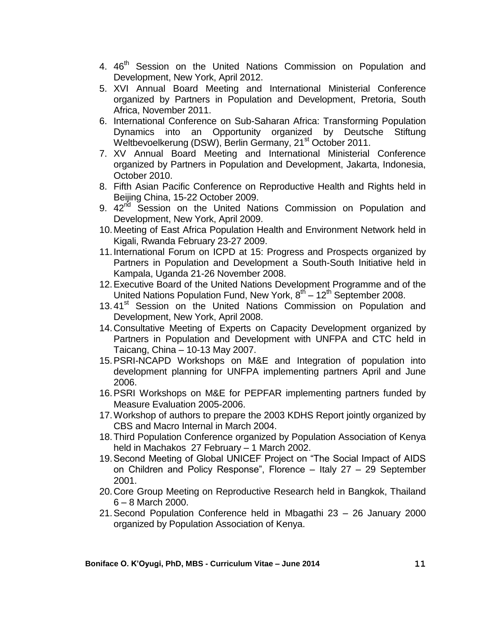- 4. 46<sup>th</sup> Session on the United Nations Commission on Population and Development, New York, April 2012.
- 5. XVI Annual Board Meeting and International Ministerial Conference organized by Partners in Population and Development, Pretoria, South Africa, November 2011.
- 6. International Conference on Sub-Saharan Africa: Transforming Population Dynamics into an Opportunity organized by Deutsche Stiftung Weltbevoelkerung (DSW), Berlin Germany, 21<sup>st</sup> October 2011.
- 7. XV Annual Board Meeting and International Ministerial Conference organized by Partners in Population and Development, Jakarta, Indonesia, October 2010.
- 8. Fifth Asian Pacific Conference on Reproductive Health and Rights held in Beijing China, 15-22 October 2009.
- 9. 42<sup>nd</sup> Session on the United Nations Commission on Population and Development, New York, April 2009.
- 10.Meeting of East Africa Population Health and Environment Network held in Kigali, Rwanda February 23-27 2009.
- 11.International Forum on ICPD at 15: Progress and Prospects organized by Partners in Population and Development a South-South Initiative held in Kampala, Uganda 21-26 November 2008.
- 12.Executive Board of the United Nations Development Programme and of the United Nations Population Fund, New York, 8<sup>th</sup> – 12<sup>th</sup> September 2008.
- 13.41<sup>st</sup> Session on the United Nations Commission on Population and Development, New York, April 2008.
- 14.Consultative Meeting of Experts on Capacity Development organized by Partners in Population and Development with UNFPA and CTC held in Taicang, China – 10-13 May 2007.
- 15.PSRI-NCAPD Workshops on M&E and Integration of population into development planning for UNFPA implementing partners April and June 2006.
- 16.PSRI Workshops on M&E for PEPFAR implementing partners funded by Measure Evaluation 2005-2006.
- 17.Workshop of authors to prepare the 2003 KDHS Report jointly organized by CBS and Macro Internal in March 2004.
- 18.Third Population Conference organized by Population Association of Kenya held in Machakos 27 February – 1 March 2002.
- 19.Second Meeting of Global UNICEF Project on "The Social Impact of AIDS on Children and Policy Response", Florence – Italy 27 – 29 September 2001.
- 20.Core Group Meeting on Reproductive Research held in Bangkok, Thailand 6 – 8 March 2000.
- 21.Second Population Conference held in Mbagathi 23 26 January 2000 organized by Population Association of Kenya.